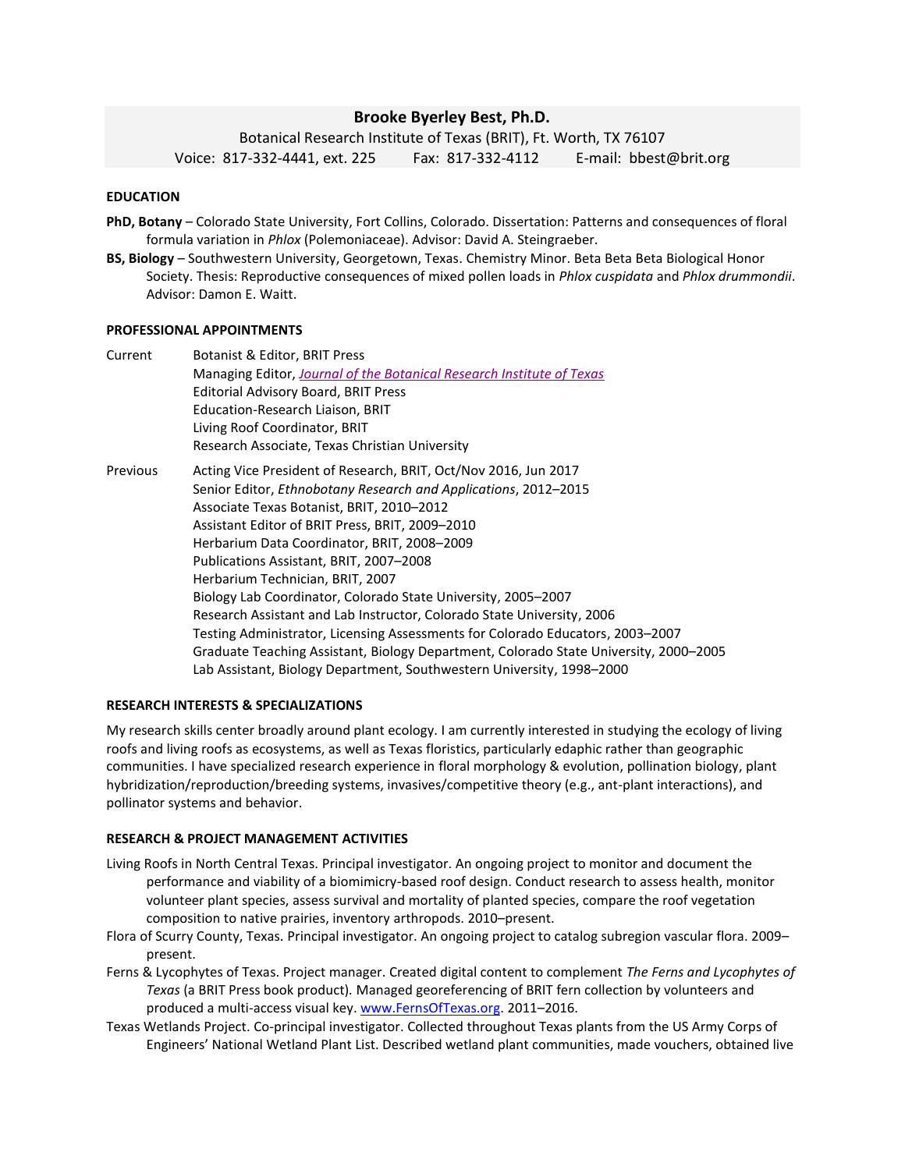# **Brooke Byerley Best, Ph.D.**

Botanical Research Institute of Texas (BRIT), Ft. Worth, TX 76107 Voice: 817-332-4441, ext. 225 Fax: 817-332-4112 E-mail: bbest@brit.org

# **EDUCATION**

- **PhD, Botany** Colorado State University, Fort Collins, Colorado. Dissertation: Patterns and consequences of floral formula variation in *Phlox* (Polemoniaceae). Advisor: David A. Steingraeber.
- **BS, Biology** Southwestern University, Georgetown, Texas. Chemistry Minor. Beta Beta Beta Biological Honor Society. Thesis: Reproductive consequences of mixed pollen loads in *Phlox cuspidata* and *Phlox drummondii*. Advisor: Damon E. Waitt.

#### **PROFESSIONAL APPOINTMENTS**

| Current  | Botanist & Editor, BRIT Press                                                         |
|----------|---------------------------------------------------------------------------------------|
|          | Managing Editor, Journal of the Botanical Research Institute of Texas                 |
|          | Editorial Advisory Board, BRIT Press                                                  |
|          | Education-Research Liaison, BRIT                                                      |
|          | Living Roof Coordinator, BRIT                                                         |
|          | Research Associate, Texas Christian University                                        |
| Previous | Acting Vice President of Research, BRIT, Oct/Nov 2016, Jun 2017                       |
|          | Senior Editor, Ethnobotany Research and Applications, 2012-2015                       |
|          | Associate Texas Botanist, BRIT, 2010-2012                                             |
|          | Assistant Editor of BRIT Press, BRIT, 2009-2010                                       |
|          | Herbarium Data Coordinator, BRIT, 2008-2009                                           |
|          | Publications Assistant, BRIT, 2007-2008                                               |
|          | Herbarium Technician, BRIT, 2007                                                      |
|          | Biology Lab Coordinator, Colorado State University, 2005–2007                         |
|          | Research Assistant and Lab Instructor, Colorado State University, 2006                |
|          | Testing Administrator, Licensing Assessments for Colorado Educators, 2003–2007        |
|          | Graduate Teaching Assistant, Biology Department, Colorado State University, 2000-2005 |
|          | Lab Assistant, Biology Department, Southwestern University, 1998–2000                 |

#### **RESEARCH INTERESTS & SPECIALIZATIONS**

My research skills center broadly around plant ecology. I am currently interested in studying the ecology of living roofs and living roofs as ecosystems, as well as Texas floristics, particularly edaphic rather than geographic communities. I have specialized research experience in floral morphology & evolution, pollination biology, plant hybridization/reproduction/breeding systems, invasives/competitive theory (e.g., ant-plant interactions), and pollinator systems and behavior.

#### **RESEARCH & PROJECT MANAGEMENT ACTIVITIES**

- Living Roofs in North Central Texas. Principal investigator. An ongoing project to monitor and document the performance and viability of a biomimicry-based roof design. Conduct research to assess health, monitor volunteer plant species, assess survival and mortality of planted species, compare the roof vegetation composition to native prairies, inventory arthropods. 2010–present.
- Flora of Scurry County, Texas. Principal investigator. An ongoing project to catalog subregion vascular flora. 2009– present.
- Ferns & Lycophytes of Texas. Project manager. Created digital content to complement *The Ferns and Lycophytes of Texas* (a BRIT Press book product)*.* Managed georeferencing of BRIT fern collection by volunteers and produced a multi-access visual key. [www.FernsOfTexas.org.](http://www.fernsoftexas.org/) 2011-2016.
- Texas Wetlands Project. Co-principal investigator. Collected throughout Texas plants from the US Army Corps of Engineers' National Wetland Plant List. Described wetland plant communities, made vouchers, obtained live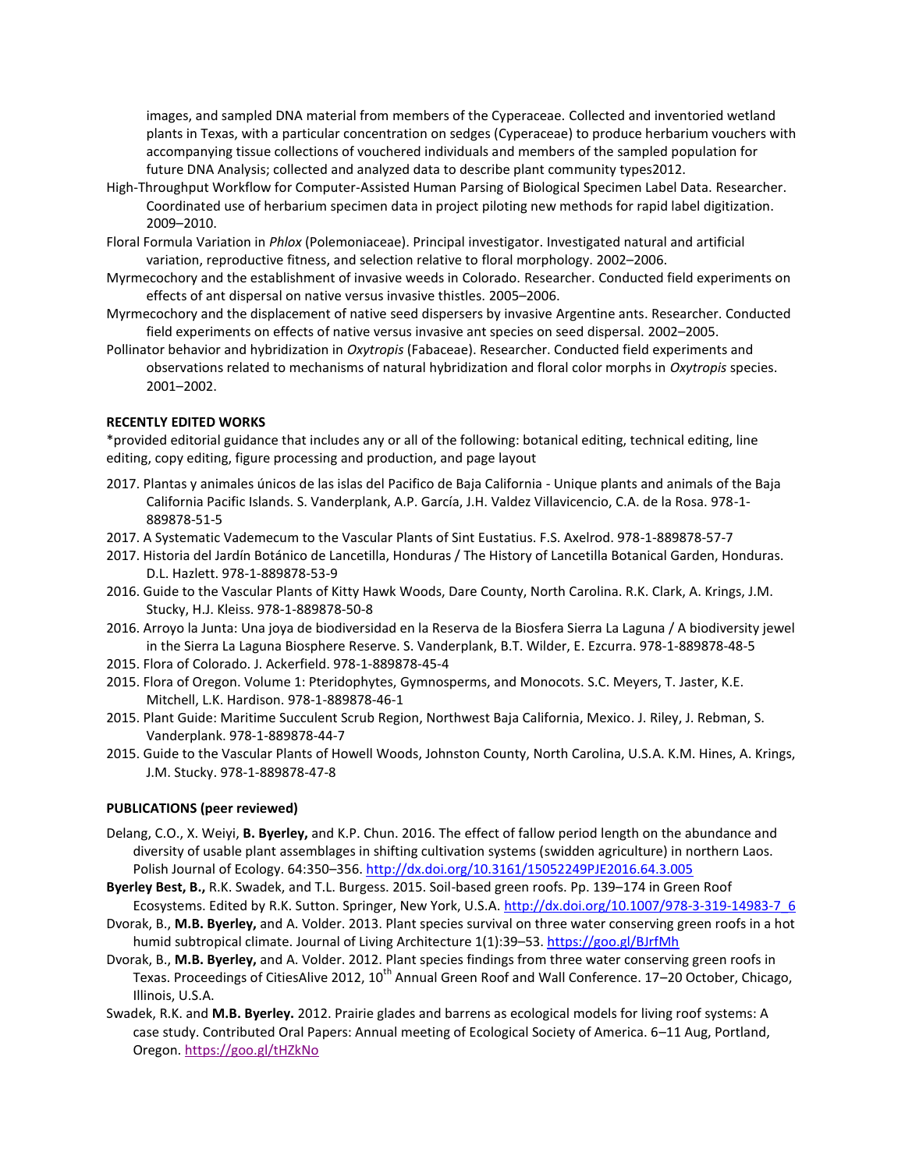images, and sampled DNA material from members of the Cyperaceae. Collected and inventoried wetland plants in Texas, with a particular concentration on sedges (Cyperaceae) to produce herbarium vouchers with accompanying tissue collections of vouchered individuals and members of the sampled population for future DNA Analysis; collected and analyzed data to describe plant community types2012.

- High-Throughput Workflow for Computer-Assisted Human Parsing of Biological Specimen Label Data. Researcher. Coordinated use of herbarium specimen data in project piloting new methods for rapid label digitization. 2009–2010.
- Floral Formula Variation in *Phlox* (Polemoniaceae). Principal investigator. Investigated natural and artificial variation, reproductive fitness, and selection relative to floral morphology. 2002–2006.
- Myrmecochory and the establishment of invasive weeds in Colorado. Researcher. Conducted field experiments on effects of ant dispersal on native versus invasive thistles. 2005–2006.
- Myrmecochory and the displacement of native seed dispersers by invasive Argentine ants. Researcher. Conducted field experiments on effects of native versus invasive ant species on seed dispersal. 2002–2005.
- Pollinator behavior and hybridization in *Oxytropis* (Fabaceae). Researcher. Conducted field experiments and observations related to mechanisms of natural hybridization and floral color morphs in *Oxytropis* species. 2001–2002.

### **RECENTLY EDITED WORKS**

\*provided editorial guidance that includes any or all of the following: botanical editing, technical editing, line editing, copy editing, figure processing and production, and page layout

- 2017. Plantas y animales únicos de las islas del Pacifico de Baja California Unique plants and animals of the Baja California Pacific Islands. S. Vanderplank, A.P. García, J.H. Valdez Villavicencio, C.A. de la Rosa. 978-1- 889878-51-5
- 2017. A Systematic Vademecum to the Vascular Plants of Sint Eustatius. F.S. Axelrod. 978-1-889878-57-7
- 2017. Historia del Jardín Botánico de Lancetilla, Honduras / The History of Lancetilla Botanical Garden, Honduras. D.L. Hazlett. 978-1-889878-53-9
- 2016. Guide to the Vascular Plants of Kitty Hawk Woods, Dare County, North Carolina. R.K. Clark, A. Krings, J.M. Stucky, H.J. Kleiss. 978-1-889878-50-8
- 2016. Arroyo la Junta: Una joya de biodiversidad en la Reserva de la Biosfera Sierra La Laguna / A biodiversity jewel in the Sierra La Laguna Biosphere Reserve. S. Vanderplank, B.T. Wilder, E. Ezcurra. 978-1-889878-48-5
- 2015. Flora of Colorado. J. Ackerfield. 978-1-889878-45-4
- 2015. Flora of Oregon. Volume 1: Pteridophytes, Gymnosperms, and Monocots. S.C. Meyers, T. Jaster, K.E. Mitchell, L.K. Hardison. 978-1-889878-46-1
- 2015. Plant Guide: Maritime Succulent Scrub Region, Northwest Baja California, Mexico. J. Riley, J. Rebman, S. Vanderplank. 978-1-889878-44-7
- 2015. Guide to the Vascular Plants of Howell Woods, Johnston County, North Carolina, U.S.A. K.M. Hines, A. Krings, J.M. Stucky. 978-1-889878-47-8

#### **PUBLICATIONS (peer reviewed)**

- Delang, C.O., X. Weiyi, **B. Byerley,** and K.P. Chun. 2016. The effect of fallow period length on the abundance and diversity of usable plant assemblages in shifting cultivation systems (swidden agriculture) in northern Laos. Polish Journal of Ecology. 64:350–356.<http://dx.doi.org/10.3161/15052249PJE2016.64.3.005>
- **Byerley Best, B.,** R.K. Swadek, and T.L. Burgess. 2015. Soil-based green roofs. Pp. 139–174 in Green Roof Ecosystems. Edited by R.K. Sutton. Springer, New York, U.S.A. [http://dx.doi.org/10.1007/978-3-319-14983-7\\_6](http://dx.doi.org/10.1007/978-3-319-14983-7_6)
- Dvorak, B., **M.B. Byerley,** and A. Volder. 2013. Plant species survival on three water conserving green roofs in a hot humid subtropical climate. Journal of Living Architecture 1(1):39-53. <https://goo.gl/BJrfMh>
- Dvorak, B., **M.B. Byerley,** and A. Volder. 2012. Plant species findings from three water conserving green roofs in Texas. Proceedings of CitiesAlive 2012, 10<sup>th</sup> Annual Green Roof and Wall Conference. 17–20 October, Chicago, Illinois, U.S.A.
- Swadek, R.K. and **M.B. Byerley.** 2012. Prairie glades and barrens as ecological models for living roof systems: A case study. Contributed Oral Papers: Annual meeting of Ecological Society of America. 6–11 Aug, Portland, Oregon. <https://goo.gl/tHZkNo>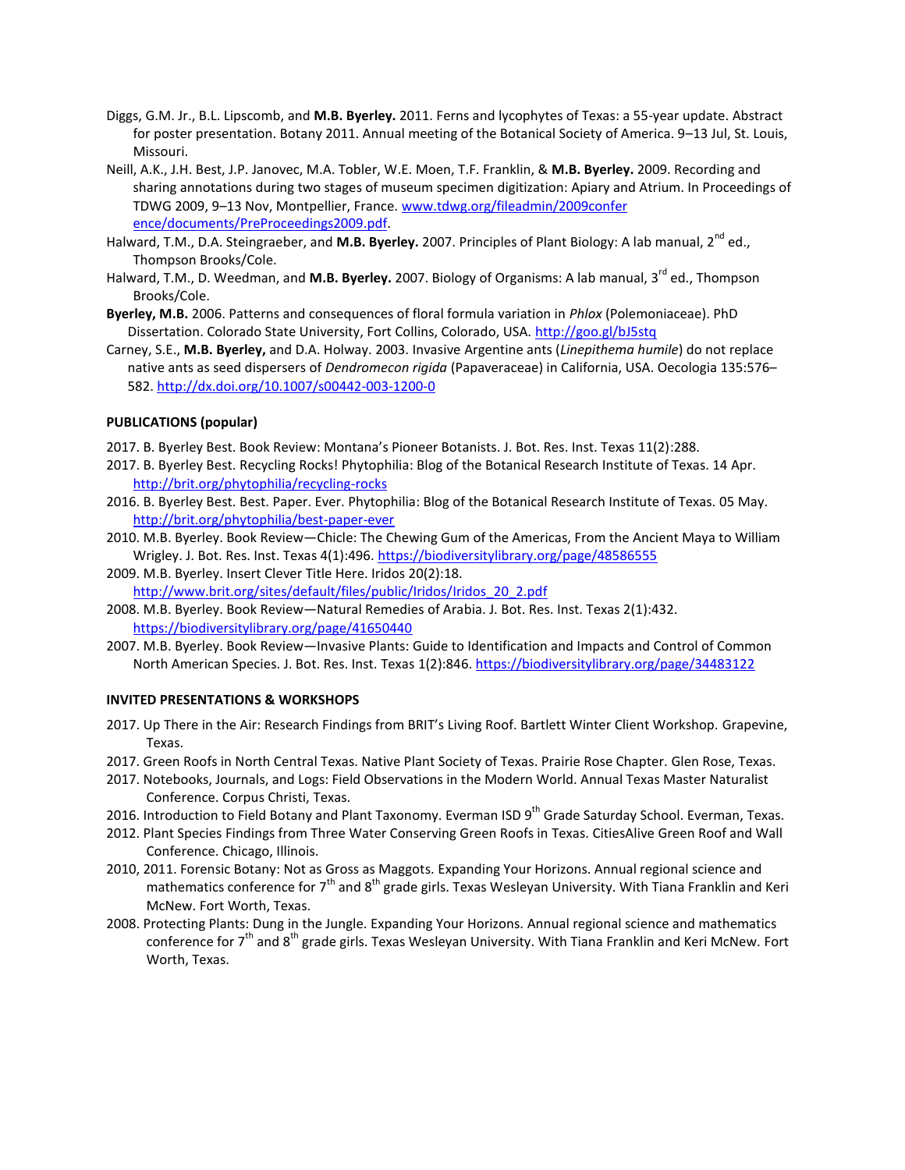- Diggs, G.M. Jr., B.L. Lipscomb, and **M.B. Byerley.** 2011. Ferns and lycophytes of Texas: a 55-year update. Abstract for poster presentation. Botany 2011. Annual meeting of the Botanical Society of America. 9–13 Jul, St. Louis, Missouri.
- Neill, A.K., J.H. Best, J.P. Janovec, M.A. Tobler, W.E. Moen, T.F. Franklin, & **M.B. Byerley.** 2009. Recording and sharing annotations during two stages of museum specimen digitization: Apiary and Atrium. In Proceedings of TDWG 2009, 9–13 Nov, Montpellier, France. [www.tdwg.org/fileadmin/2009confer](http://www.tdwg.org/fileadmin/2009confer%20ence/documents/PreProceedings2009.pdf)  [ence/documents/PreProceedings2009.pdf.](http://www.tdwg.org/fileadmin/2009confer%20ence/documents/PreProceedings2009.pdf)
- Halward, T.M., D.A. Steingraeber, and **M.B. Byerley.** 2007. Principles of Plant Biology: A lab manual, 2<sup>nd</sup> ed., Thompson Brooks/Cole.
- Halward, T.M., D. Weedman, and **M.B. Byerley.** 2007. Biology of Organisms: A lab manual, 3rd ed., Thompson Brooks/Cole.
- **Byerley, M.B.** 2006. Patterns and consequences of floral formula variation in *Phlox* (Polemoniaceae). PhD Dissertation. Colorado State University, Fort Collins, Colorado, USA. <http://goo.gl/bJ5stq>
- Carney, S.E., **M.B. Byerley,** and D.A. Holway. 2003. Invasive Argentine ants (*Linepithema humile*) do not replace native ants as seed dispersers of *Dendromecon rigida* (Papaveraceae) in California, USA. Oecologia 135:576– 582[. http://dx.doi.org/10.1007/s00442-003-1200-0](http://dx.doi.org/10.1007/s00442-003-1200-0)

### **PUBLICATIONS (popular)**

2017. B. Byerley Best. Book Review: Montana's Pioneer Botanists. J. Bot. Res. Inst. Texas 11(2):288.

- 2017. B. Byerley Best. Recycling Rocks! Phytophilia: Blog of the Botanical Research Institute of Texas. 14 Apr. <http://brit.org/phytophilia/recycling-rocks>
- 2016. B. Byerley Best. Best. Paper. Ever. Phytophilia: Blog of the Botanical Research Institute of Texas. 05 May. <http://brit.org/phytophilia/best-paper-ever>
- 2010. M.B. Byerley. Book Review—Chicle: The Chewing Gum of the Americas, From the Ancient Maya to William Wrigley. J. Bot. Res. Inst. Texas 4(1):496[. https://biodiversitylibrary.org/page/48586555](https://biodiversitylibrary.org/page/48586555)
- 2009. M.B. Byerley. Insert Clever Title Here. Iridos 20(2):18. [http://www.brit.org/sites/default/files/public/Iridos/Iridos\\_20\\_2.pdf](http://www.brit.org/sites/default/files/public/Iridos/Iridos_20_2.pdf)
- 2008. M.B. Byerley. Book Review—Natural Remedies of Arabia. J. Bot. Res. Inst. Texas 2(1):432. <https://biodiversitylibrary.org/page/41650440>
- 2007. M.B. Byerley. Book Review—Invasive Plants: Guide to Identification and Impacts and Control of Common North American Species. J. Bot. Res. Inst. Texas 1(2):846. <https://biodiversitylibrary.org/page/34483122>

#### **INVITED PRESENTATIONS & WORKSHOPS**

- 2017. Up There in the Air: Research Findings from BRIT's Living Roof. Bartlett Winter Client Workshop. Grapevine, Texas.
- 2017. Green Roofs in North Central Texas. Native Plant Society of Texas. Prairie Rose Chapter. Glen Rose, Texas.
- 2017. Notebooks, Journals, and Logs: Field Observations in the Modern World. Annual Texas Master Naturalist Conference. Corpus Christi, Texas.
- 2016. Introduction to Field Botany and Plant Taxonomy. Everman ISD 9<sup>th</sup> Grade Saturday School. Everman, Texas.
- 2012. Plant Species Findings from Three Water Conserving Green Roofs in Texas. CitiesAlive Green Roof and Wall Conference. Chicago, Illinois.
- 2010, 2011. Forensic Botany: Not as Gross as Maggots. Expanding Your Horizons. Annual regional science and mathematics conference for  $7<sup>th</sup>$  and  $8<sup>th</sup>$  grade girls. Texas Wesleyan University. With Tiana Franklin and Keri McNew. Fort Worth, Texas.
- 2008. Protecting Plants: Dung in the Jungle. Expanding Your Horizons. Annual regional science and mathematics conference for 7<sup>th</sup> and 8<sup>th</sup> grade girls. Texas Wesleyan University. With Tiana Franklin and Keri McNew. Fort Worth, Texas.